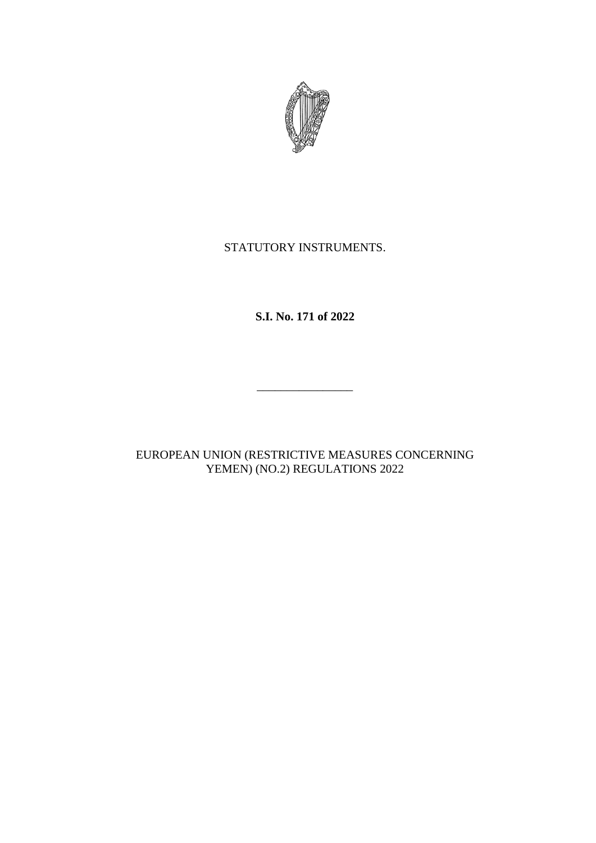

# STATUTORY INSTRUMENTS.

**S.I. No. 171 of 2022**

\_\_\_\_\_\_\_\_\_\_\_\_\_\_\_\_

EUROPEAN UNION (RESTRICTIVE MEASURES CONCERNING YEMEN) (NO.2) REGULATIONS 2022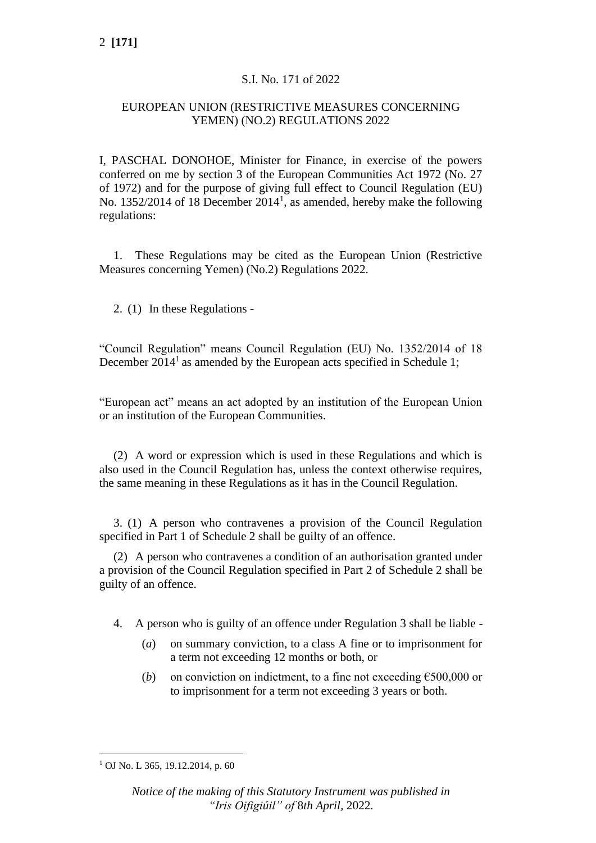## S.I. No. 171 of 2022

### EUROPEAN UNION (RESTRICTIVE MEASURES CONCERNING YEMEN) (NO.2) REGULATIONS 2022

I, PASCHAL DONOHOE, Minister for Finance, in exercise of the powers conferred on me by section 3 of the European Communities Act 1972 (No. 27 of 1972) and for the purpose of giving full effect to Council Regulation (EU) No. 1352/2014 of 18 December  $2014<sup>1</sup>$ , as amended, hereby make the following regulations:

1. These Regulations may be cited as the European Union (Restrictive Measures concerning Yemen) (No.2) Regulations 2022.

2. (1) In these Regulations -

"Council Regulation" means Council Regulation (EU) No. 1352/2014 of 18 December  $2014<sup>1</sup>$  as amended by the European acts specified in Schedule 1;

"European act" means an act adopted by an institution of the European Union or an institution of the European Communities.

(2) A word or expression which is used in these Regulations and which is also used in the Council Regulation has, unless the context otherwise requires, the same meaning in these Regulations as it has in the Council Regulation.

3. (1) A person who contravenes a provision of the Council Regulation specified in Part 1 of Schedule 2 shall be guilty of an offence.

(2) A person who contravenes a condition of an authorisation granted under a provision of the Council Regulation specified in Part 2 of Schedule 2 shall be guilty of an offence.

- 4. A person who is guilty of an offence under Regulation 3 shall be liable
	- (*a*) on summary conviction, to a class A fine or to imprisonment for a term not exceeding 12 months or both, or
	- (*b*) on conviction on indictment, to a fine not exceeding  $\epsilon$ 500,000 or to imprisonment for a term not exceeding 3 years or both.

 $1$  OJ No. L 365, 19.12.2014, p. 60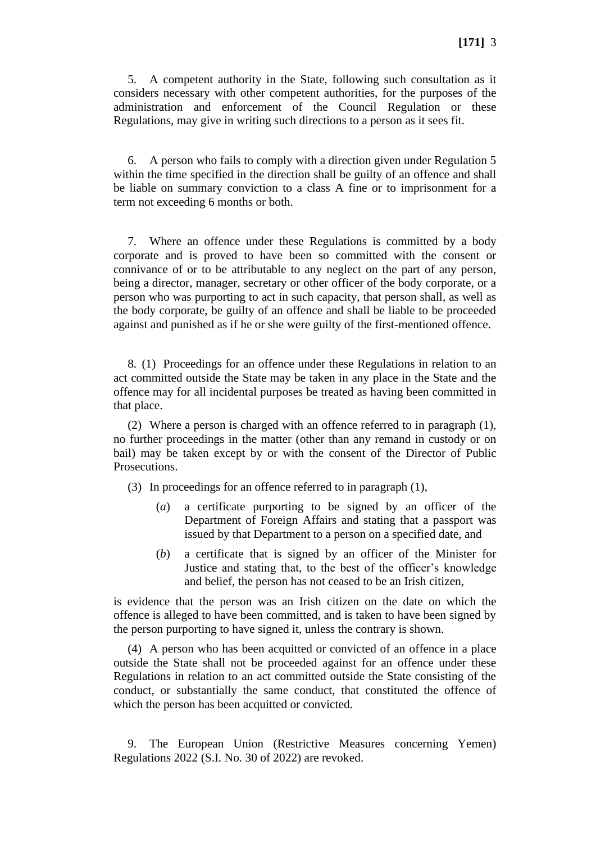5. A competent authority in the State, following such consultation as it considers necessary with other competent authorities, for the purposes of the administration and enforcement of the Council Regulation or these Regulations, may give in writing such directions to a person as it sees fit.

6. A person who fails to comply with a direction given under Regulation 5 within the time specified in the direction shall be guilty of an offence and shall be liable on summary conviction to a class A fine or to imprisonment for a term not exceeding 6 months or both.

7. Where an offence under these Regulations is committed by a body corporate and is proved to have been so committed with the consent or connivance of or to be attributable to any neglect on the part of any person, being a director, manager, secretary or other officer of the body corporate, or a person who was purporting to act in such capacity, that person shall, as well as the body corporate, be guilty of an offence and shall be liable to be proceeded against and punished as if he or she were guilty of the first-mentioned offence.

8. (1) Proceedings for an offence under these Regulations in relation to an act committed outside the State may be taken in any place in the State and the offence may for all incidental purposes be treated as having been committed in that place.

(2) Where a person is charged with an offence referred to in paragraph (1), no further proceedings in the matter (other than any remand in custody or on bail) may be taken except by or with the consent of the Director of Public Prosecutions.

(3) In proceedings for an offence referred to in paragraph (1),

- (*a*) a certificate purporting to be signed by an officer of the Department of Foreign Affairs and stating that a passport was issued by that Department to a person on a specified date, and
- (*b*) a certificate that is signed by an officer of the Minister for Justice and stating that, to the best of the officer's knowledge and belief, the person has not ceased to be an Irish citizen,

is evidence that the person was an Irish citizen on the date on which the offence is alleged to have been committed, and is taken to have been signed by the person purporting to have signed it, unless the contrary is shown.

(4) A person who has been acquitted or convicted of an offence in a place outside the State shall not be proceeded against for an offence under these Regulations in relation to an act committed outside the State consisting of the conduct, or substantially the same conduct, that constituted the offence of which the person has been acquitted or convicted.

9. The European Union (Restrictive Measures concerning Yemen) Regulations 2022 (S.I. No. 30 of 2022) are revoked.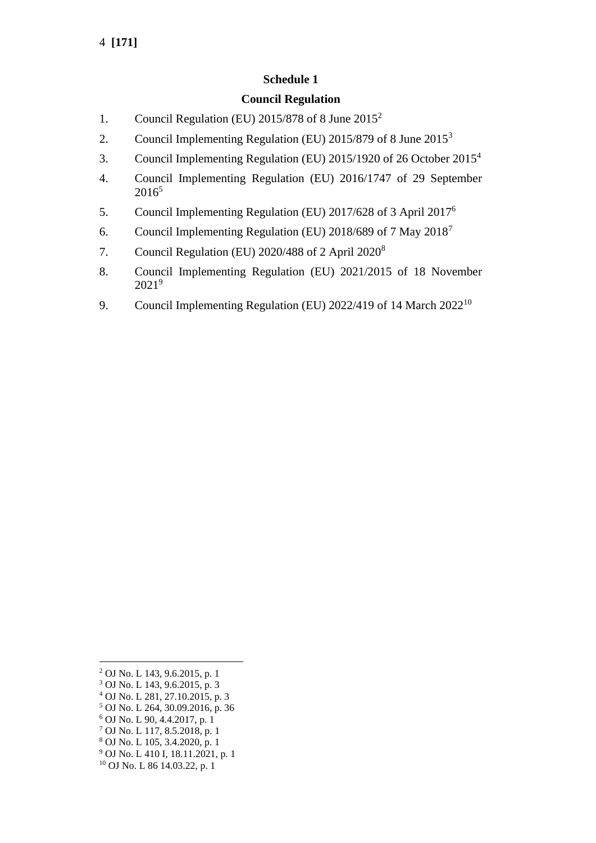## **Schedule 1**

### **Council Regulation**

- 1. Council Regulation (EU)  $2015/878$  of 8 June  $2015^2$
- 2. Council Implementing Regulation (EU) 2015/879 of 8 June 2015<sup>3</sup>
- 3. Council Implementing Regulation (EU) 2015/1920 of 26 October 2015<sup>4</sup>
- 4. Council Implementing Regulation (EU) 2016/1747 of 29 September 2016<sup>5</sup>
- 5. Council Implementing Regulation (EU) 2017/628 of 3 April 2017<sup>6</sup>
- 6. Council Implementing Regulation (EU) 2018/689 of 7 May 2018<sup>7</sup>
- 7. Council Regulation (EU) 2020/488 of 2 April 2020<sup>8</sup>
- 8. Council Implementing Regulation (EU) 2021/2015 of 18 November 2021<sup>9</sup>
- 9. Council Implementing Regulation (EU) 2022/419 of 14 March 2022<sup>10</sup>

- <sup>4</sup> OJ No. L 281, 27.10.2015, p. 3
- <sup>5</sup> OJ No. L 264, 30.09.2016, p. 36 <sup>6</sup> OJ No. L 90, 4.4.2017, p. 1
- <sup>7</sup> OJ No. L 117, 8.5.2018, p. 1
- <sup>8</sup> OJ No. L 105, 3.4.2020, p. 1
- <sup>9</sup> OJ No. L 410 I, 18.11.2021, p. 1
- <sup>10</sup> OJ No. L 86 14.03.22, p. 1

<sup>2</sup> OJ No. L 143, 9.6.2015, p. 1

<sup>3</sup> OJ No. L 143, 9.6.2015, p. 3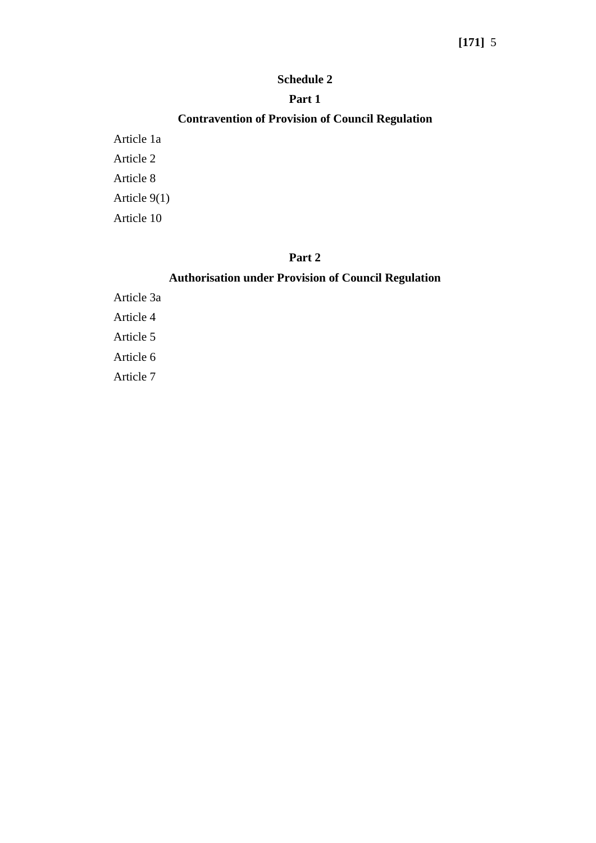# **[171]** 5

#### **Schedule 2**

#### **Part 1**

## **Contravention of Provision of Council Regulation**

Article 1a Article 2 Article 8 Article 9(1) Article 10

### **Part 2**

## **Authorisation under Provision of Council Regulation**

Article 3a Article 4 Article 5 Article 6 Article 7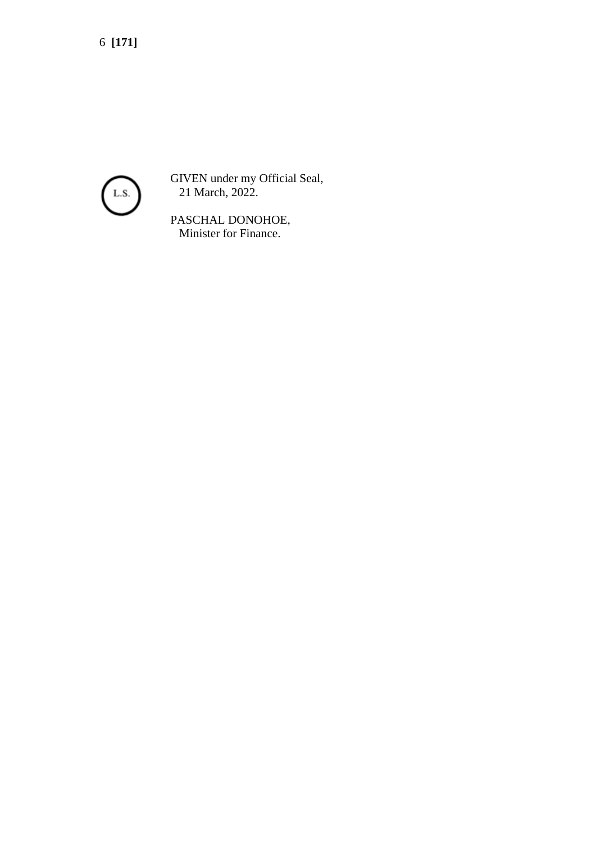6 **[171]**



GIVEN under my Official Seal, 21 March, 2022.

PASCHAL DONOHOE, Minister for Finance.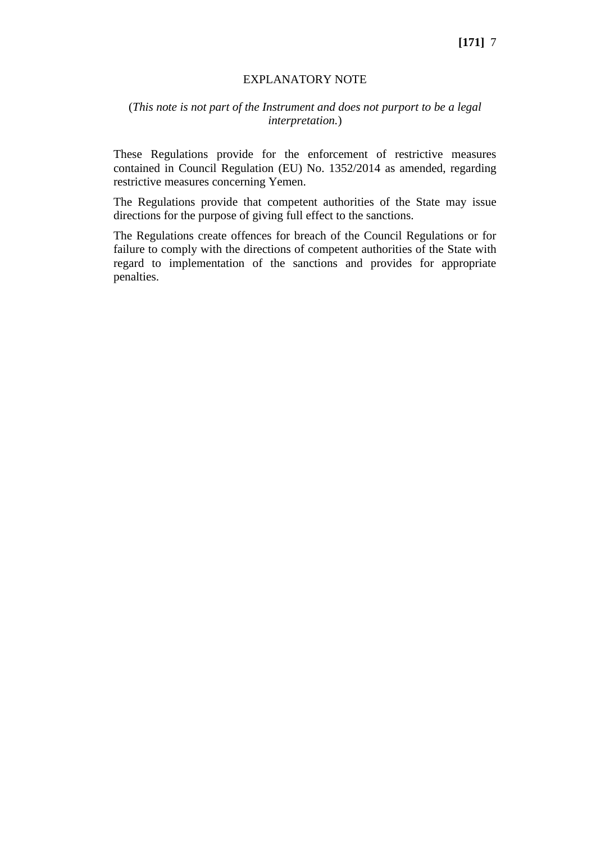#### EXPLANATORY NOTE

#### (*This note is not part of the Instrument and does not purport to be a legal interpretation.*)

These Regulations provide for the enforcement of restrictive measures contained in Council Regulation (EU) No. 1352/2014 as amended, regarding restrictive measures concerning Yemen.

The Regulations provide that competent authorities of the State may issue directions for the purpose of giving full effect to the sanctions.

The Regulations create offences for breach of the Council Regulations or for failure to comply with the directions of competent authorities of the State with regard to implementation of the sanctions and provides for appropriate penalties.